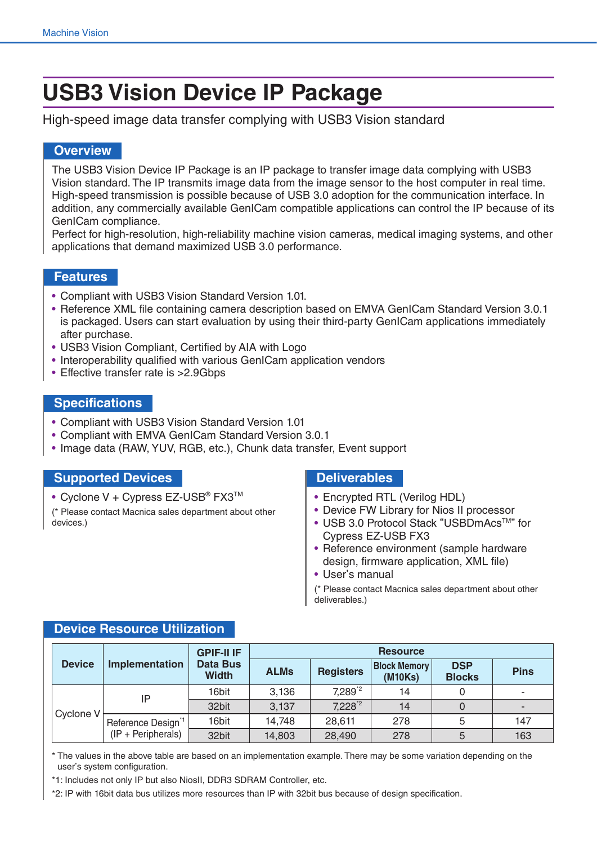# **USB3 Vision Device IP Package**

High-speed image data transfer complying with USB3 Vision standard

## **Overview**

The USB3 Vision Device IP Package is an IP package to transfer image data complying with USB3 Vision standard. The IP transmits image data from the image sensor to the host computer in real time. High-speed transmission is possible because of USB 3.0 adoption for the communication interface. In addition, any commercially available GenICam compatible applications can control the IP because of its GenICam compliance.

Perfect for high-resolution, high-reliability machine vision cameras, medical imaging systems, and other applications that demand maximized USB 3.0 performance.

#### **Features**

- Compliant with USB3 Vision Standard Version 1.01.
- Reference XML file containing camera description based on EMVA GenICam Standard Version 3.0.1 is packaged. Users can start evaluation by using their third-party GenICam applications immediately after purchase.
- USB3 Vision Compliant, Certified by AIA with Logo
- Interoperability qualified with various GenICam application vendors
- Effective transfer rate is >2.9Gbps

#### **Specifications**

- Compliant with USB3 Vision Standard Version 1.01
- Compliant with EMVA GenICam Standard Version 3.0.1
- Image data (RAW, YUV, RGB, etc.), Chunk data transfer, Event support

### **Supported Devices**

• Cyclone V + Cypress EZ-USB®  $FX3^{TM}$ 

(\* Please contact Macnica sales department about other devices.)

- Encrypted RTL (Verilog HDL)
- Device FW Library for Nios II processor
- USB 3.0 Protocol Stack "USBDmAcsTM" for Cypress EZ-USB FX3
- Reference environment (sample hardware design, firmware application, XML file)
- User's manual

(\* Please contact Macnica sales department about other deliverables.)

#### **Device Resource Utilization**

|               | <b>Implementation</b>                                 | <b>GPIF-II IF</b><br>Data Bus<br><b>Width</b> | <b>Resource</b> |                    |                                |                             |             |  |
|---------------|-------------------------------------------------------|-----------------------------------------------|-----------------|--------------------|--------------------------------|-----------------------------|-------------|--|
| <b>Device</b> |                                                       |                                               | <b>ALMs</b>     | <b>Registers</b>   | <b>Block Memory</b><br>(M10Ks) | <b>DSP</b><br><b>Blocks</b> | <b>Pins</b> |  |
| Cyclone V     | IP                                                    | 16bit                                         | 3,136           | 7,289 <sup>2</sup> | 14                             |                             |             |  |
|               |                                                       | 32bit                                         | 3,137           | 7,228 <sup>2</sup> | 14                             |                             |             |  |
|               | Reference Design <sup>1</sup><br>$(IP + Peripherals)$ | 16bit                                         | 14,748          | 28,611             | 278                            |                             | 147         |  |
|               |                                                       | 32bit                                         | 14,803          | 28,490             | 278                            |                             | 163         |  |

\* The values in the above table are based on an implementation example. There may be some variation depending on the user's system configuration.

\*1: Includes not only IP but also NiosII, DDR3 SDRAM Controller, etc.

\*2: IP with 16bit data bus utilizes more resources than IP with 32bit bus because of design specification.